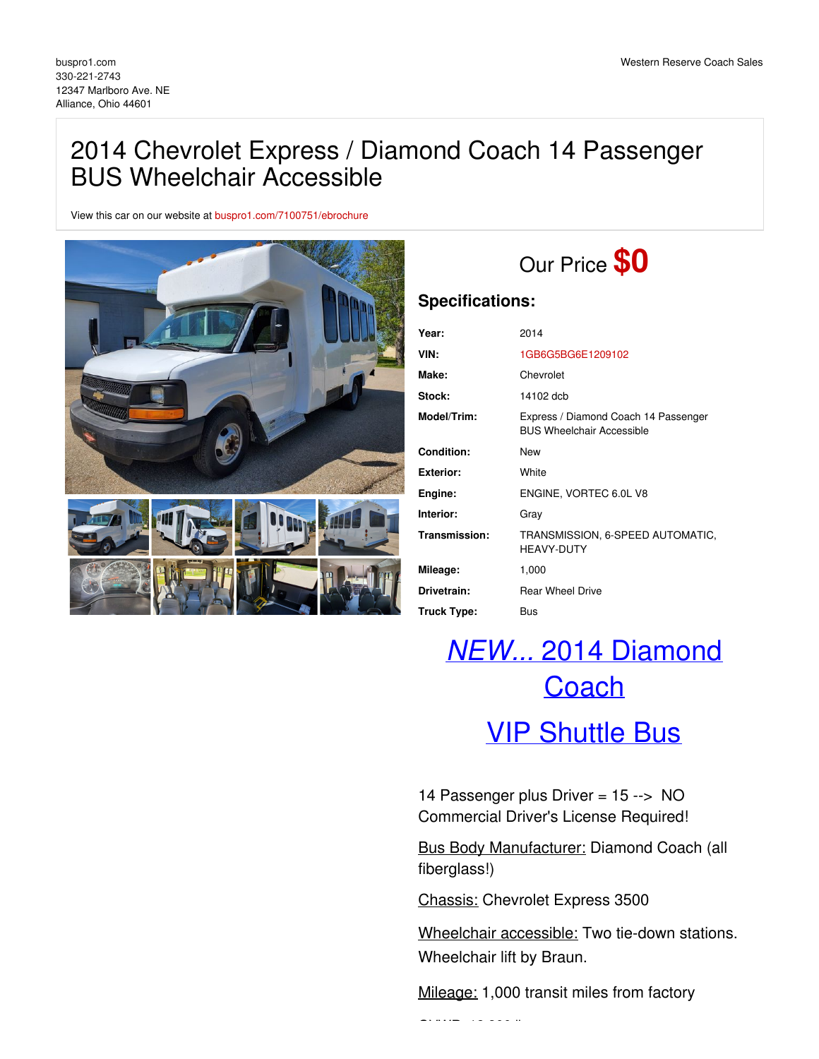## 2014 Chevrolet Express / Diamond Coach 14 Passenger BUS Wheelchair Accessible

View this car on our website at [buspro1.com/7100751/ebrochure](https://buspro1.com/vehicle/7100751/2014-chevrolet-express-diamond-coach-14-passenger-bus-wheelchair-accessible-alliance-ohio-44601/7100751/ebrochure)



## Our Price **\$0**

## **Specifications:**

| Year:            | 2014                                                                     |
|------------------|--------------------------------------------------------------------------|
| VIN:             | 1GB6G5BG6E1209102                                                        |
| Make:            | Chevrolet                                                                |
| Stock:           | 14102 dcb                                                                |
| Model/Trim:      | Express / Diamond Coach 14 Passenger<br><b>BUS Wheelchair Accessible</b> |
| Condition:       | New                                                                      |
| <b>Exterior:</b> | White                                                                    |
| Engine:          | ENGINE, VORTEC 6.0L V8                                                   |
| Interior:        | Gray                                                                     |
| Transmission:    | TRANSMISSION, 6-SPEED AUTOMATIC,<br><b>HEAVY-DUTY</b>                    |
| Mileage:         | 1,000                                                                    |
| Drivetrain:      | <b>Rear Wheel Drive</b>                                                  |
| Truck Type:      | Bus                                                                      |

# *NEW...* 2014 Diamond **Coach**

## VIP Shuttle Bus

14 Passenger plus Driver = 15 --> NO Commercial Driver's License Required!

Bus Body Manufacturer: Diamond Coach (all fiberglass!)

Chassis: Chevrolet Express 3500

Wheelchair accessible: Two tie-down stations. Wheelchair lift by Braun.

Mileage: 1,000 transit miles from factory

GVWR: 12,300 lbs.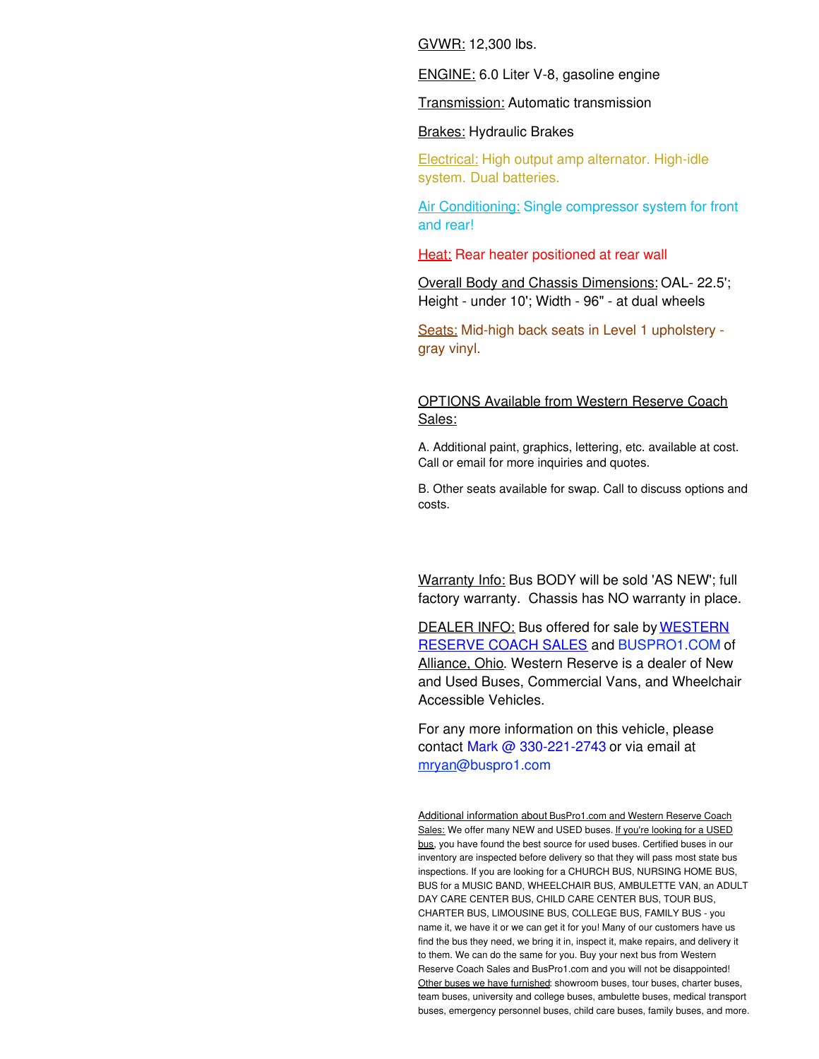GVWR: 12,300 lbs.

ENGINE: 6.0 Liter V-8, gasoline engine

Transmission: Automatic transmission

Brakes: Hydraulic Brakes

Electrical: High output amp alternator. High-idle system. Dual batteries.

Air Conditioning: Single compressor system for front and rear!

Heat: Rear heater positioned at rear wall

Overall Body and Chassis Dimensions: OAL- 22.5'; Height - under 10'; Width - 96" - at dual wheels

Seats: Mid-high back seats in Level 1 upholstery gray vinyl.

### OPTIONS Available from Western Reserve Coach Sales:

A. Additional paint, graphics, lettering, etc. available at cost. Call or email for more inquiries and quotes.

B. Other seats available for swap. Call to discuss options and costs.

Warranty Info: Bus BODY will be sold 'AS NEW'; full factory warranty. Chassis has NO warranty in place.

DEALER INFO: Bus offered for sale by WESTERN RESERVE COACH SALES and BUSPRO1.COM of Alliance, Ohio. Western Reserve is a dealer of New and Used Buses, Commercial Vans, and Wheelchair Accessible Vehicles.

For any more information on this vehicle, please contact Mark @ 330-221-2743 or via email at mrya[n@buspro1.com](mailto:mryan@buspro1.com)

Additional information about BusPro1.com and Western Reserve Coach Sales: We offer many NEW and USED buses. If you're looking for a USED bus, you have found the best source for used buses. Certified buses in our inventory are inspected before delivery so that they will pass most state bus inspections. If you are looking for a CHURCH BUS, NURSING HOME BUS, BUS for a MUSIC BAND, WHEELCHAIR BUS, AMBULETTE VAN, an ADULT DAY CARE CENTER BUS, CHILD CARE CENTER BUS, TOUR BUS, CHARTER BUS, LIMOUSINE BUS, COLLEGE BUS, FAMILY BUS - you name it, we have it or we can get it for you! Many of our customers have us find the bus they need, we bring it in, inspect it, make repairs, and delivery it to them. We can do the same for you. Buy your next bus from Western Reserve Coach Sales and BusPro1.com and you will not be disappointed! Other buses we have furnished: showroom buses, tour buses, charter buses, team buses, university and college buses, ambulette buses, medical transport buses, emergency personnel buses, child care buses, family buses, and more.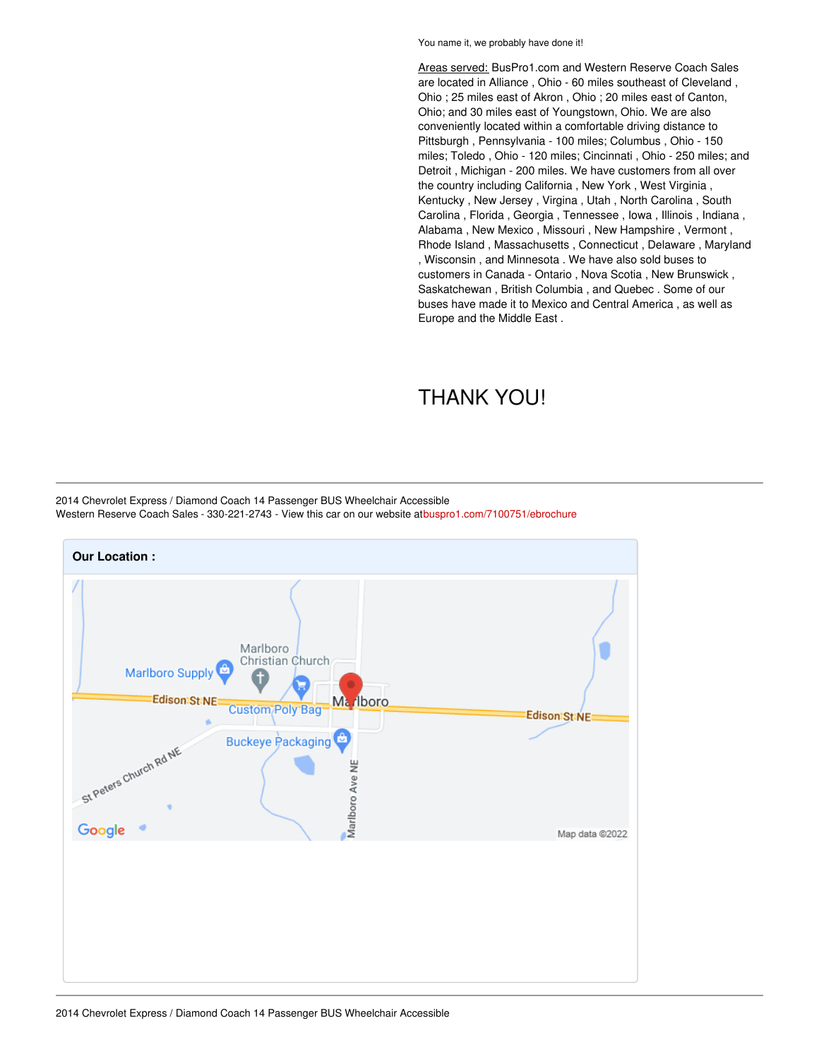You name it, we probably have done it!

Areas served: BusPro1.com and Western Reserve Coach Sales are located in Alliance , Ohio - 60 miles southeast of Cleveland , Ohio ; 25 miles east of Akron , Ohio ; 20 miles east of Canton, Ohio; and 30 miles east of Youngstown, Ohio. We are also conveniently located within a comfortable driving distance to Pittsburgh , Pennsylvania - 100 miles; Columbus , Ohio - 150 miles; Toledo , Ohio - 120 miles; Cincinnati , Ohio - 250 miles; and Detroit , Michigan - 200 miles. We have customers from all over the country including California , New York , West Virginia , Kentucky , New Jersey , Virgina , Utah , North Carolina , South Carolina , Florida , Georgia , Tennessee , Iowa , Illinois , Indiana , Alabama , New Mexico , Missouri , New Hampshire , Vermont , Rhode Island , Massachusetts , Connecticut , Delaware , Maryland , Wisconsin , and Minnesota . We have also sold buses to customers in Canada - Ontario , Nova Scotia , New Brunswick , Saskatchewan , British Columbia , and Quebec . Some of our buses have made it to Mexico and Central America , as well as Europe and the Middle East .

## THANK YOU!

2014 Chevrolet Express / Diamond Coach 14 Passenger BUS Wheelchair Accessible Western Reserve Coach Sales - 330-221-2743 - View this car on our website a[tbuspro1.com/7100751/ebrochure](https://buspro1.com/vehicle/7100751/2014-chevrolet-express-diamond-coach-14-passenger-bus-wheelchair-accessible-alliance-ohio-44601/7100751/ebrochure)

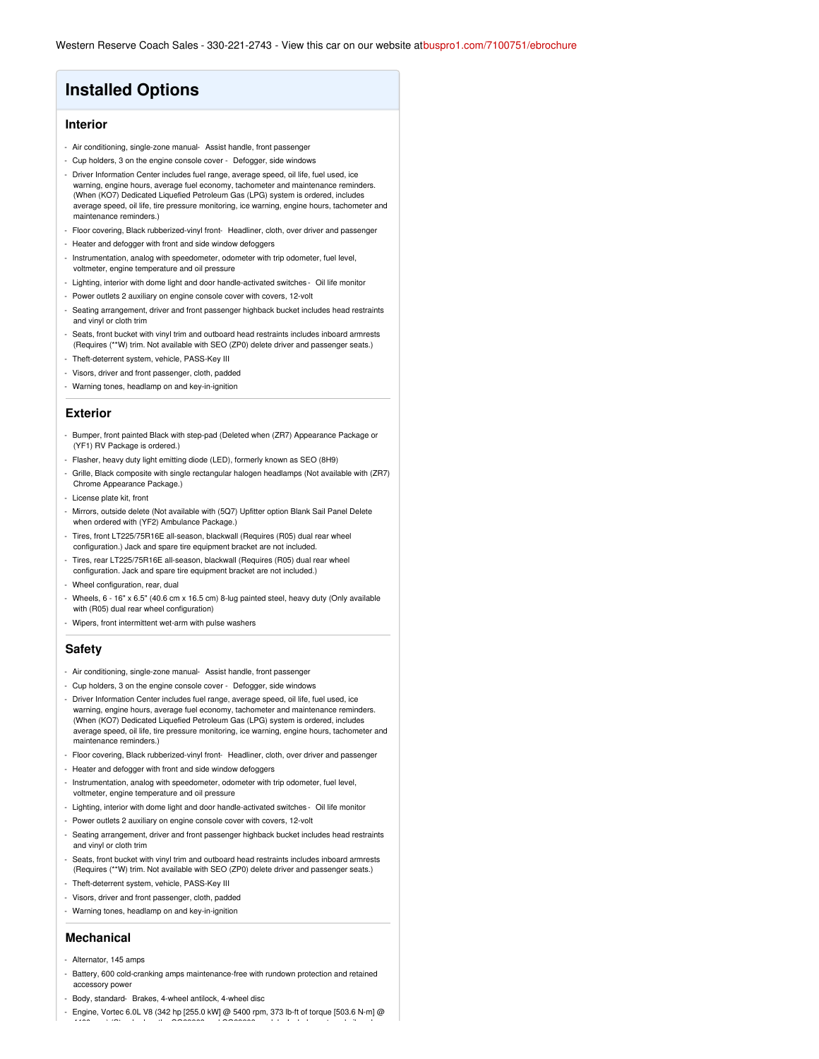### **Installed Options**

### **Interior**

- Air conditioning, single-zone manual- Assist handle, front passenger
- Cup holders, 3 on the engine console cover Defogger, side windows
- Driver Information Center includes fuel range, average speed, oil life, fuel used, ice warning, engine hours, average fuel economy, tachometer and maintenance reminders. (When (KO7) Dedicated Liquefied Petroleum Gas (LPG) system is ordered, includes average speed, oil life, tire pressure monitoring, ice warning, engine hours, tachometer and maintenance reminders.)
- Floor covering, Black rubberized-vinyl front- Headliner, cloth, over driver and passenger
- Heater and defogger with front and side window defoggers
- Instrumentation, analog with speedometer, odometer with trip odometer, fuel level, voltmeter, engine temperature and oil pressure
- Lighting, interior with dome light and door handle-activated switches Oil life monitor
- Power outlets 2 auxiliary on engine console cover with covers, 12-volt
- Seating arrangement, driver and front passenger highback bucket includes head restraints and vinyl or cloth trim
- Seats, front bucket with vinyl trim and outboard head restraints includes inboard armrests (Requires (\*\*W) trim. Not available with SEO (ZP0) delete driver and passenger seats.)
- Theft-deterrent system, vehicle, PASS-Key III
- Visors, driver and front passenger, cloth, padded
- Warning tones, headlamp on and key-in-ignition

#### **Exterior**

- Bumper, front painted Black with step-pad (Deleted when (ZR7) Appearance Package or (YF1) RV Package is ordered.)
- Flasher, heavy duty light emitting diode (LED), formerly known as SEO (8H9)
- Grille, Black composite with single rectangular halogen headlamps (Not available with (ZR7) Chrome Appearance Package.)
- License plate kit, front
- Mirrors, outside delete (Not available with (5Q7) Upfitter option Blank Sail Panel Delete when ordered with (YF2) Ambulance Package.)
- Tires, front LT225/75R16E all-season, blackwall (Requires (R05) dual rear wheel configuration.) Jack and spare tire equipment bracket are not included.
- Tires, rear LT225/75R16E all-season, blackwall (Requires (R05) dual rear wheel configuration. Jack and spare tire equipment bracket are not included.)
- Wheel configuration, rear, dual
- Wheels, 6 16" x 6.5" (40.6 cm x 16.5 cm) 8-lug painted steel, heavy duty (Only available with (R05) dual rear wheel configuration)
- Wipers, front intermittent wet-arm with pulse washers

#### **Safety**

- Air conditioning, single-zone manual- Assist handle, front passenger
- Cup holders, 3 on the engine console cover Defogger, side windows
- Driver Information Center includes fuel range, average speed, oil life, fuel used, ice warning, engine hours, average fuel economy, tachometer and maintenance reminders. (When (KO7) Dedicated Liquefied Petroleum Gas (LPG) system is ordered, includes average speed, oil life, tire pressure monitoring, ice warning, engine hours, tachometer and maintenance reminders.)
- Floor covering, Black rubberized-vinyl front- Headliner, cloth, over driver and passenger
- Heater and defogger with front and side window defoggers
- Instrumentation, analog with speedometer, odometer with trip odometer, fuel level, voltmeter, engine temperature and oil pressure
- Lighting, interior with dome light and door handle-activated switches Oil life monitor
- Power outlets 2 auxiliary on engine console cover with covers, 12-volt
- Seating arrangement, driver and front passenger highback bucket includes head restraints and vinyl or cloth trim
- Seats, front bucket with vinyl trim and outboard head restraints includes inboard armrests (Requires (\*\*W) trim. Not available with SEO (ZP0) delete driver and passenger seats.)
- Theft-deterrent system, vehicle, PASS-Key III
- Visors, driver and front passenger, cloth, padded
- Warning tones, headlamp on and key-in-ignition

#### **Mechanical**

- Alternator, 145 amps
- Battery, 600 cold-cranking amps maintenance-free with rundown protection and retained accessory power
- Body, standard- Brakes, 4-wheel antilock, 4-wheel disc
- Engine, Vortec 6.0L V8 (342 hp [255.0 kW] @ 5400 rpm, 373 lb-ft of torque [503.6 N-m] @ 4400 rpm) (Standard on the CG33803 and CG33903 models. Includes external oil cooler.